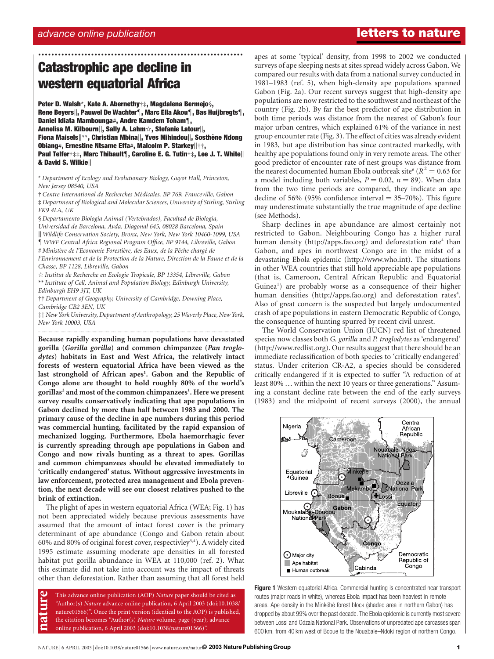# advance online publication letters to nature and  $\mathbf{l}$

# Catastrophic ape decline in western equatorial Africa

Peter D. Walsh\*, Kate A. Abernethy†‡, Magdalena Bermejo§, Rene Beyers||, Pauwel De Wachter¶, Marc Ella Akou¶, Bas Huijbregts¶, Daniel Idiata Mambounga#, Andre Kamdem Toham¶, Annelisa M. Kilbourn||, Sally A. Lahm $\dot{\triangledown}$ , Stefanie Latour||, Fiona Maisels||\*\*, Christian Mbina||, Yves Mihindou||, Sosthène Ndong Obiang#, Ernestine Ntsame Effa#, Malcolm P. Starkey||††, Paul Telfer†‡‡, Marc Thibault¶, Caroline E. G. Tutin†‡, Lee J. T. White|| & David S. Wilkie

..............................................................

\* Department of Ecology and Evolutionary Biology, Guyot Hall, Princeton, New Jersey 08540, USA

† Centre International de Recherches Me´dicales, BP 769, Franceville, Gabon ‡ Department of Biological and Molecular Sciences, University of Stirling, Stirling FK9 4LA, UK

§ Departamento Biología Animal (Vertebrados), Facultad de Biología, Universidad de Barcelona, Avda. Diagonal 645, 08028 Barcelona, Spain | Wildlife Conservation Society, Bronx, New York, New York 10460-1099, USA { WWF Central Africa Regional Program Office, BP 9144, Libreville, Gabon # Ministère de l'Economie Forestière, des Eaux, de la Pêche chargé de l'Environnement et de la Protection de la Nature, Direction de la Faune et de la Chasse, BP 1128, Libreville, Gabon

 $\dot{\varphi}$  Institut de Recherche en Ecologie Tropicale, BP 13354, Libreville, Gabon \*\* Institute of Cell, Animal and Population Biology, Edinburgh University, Edinburgh EH9 3JT, UK

†† Department of Geography, University of Cambridge, Downing Place, Cambridge CB2 3EN, UK

‡‡ New York University, Department of Anthropology, 25 Waverly Place, New York, New York 10003, USA .............................................................................................................................................................................

Because rapidly expanding human populations have devastated gorilla (Gorilla gorilla) and common chimpanzee (Pan troglodytes) habitats in East and West Africa, the relatively intact forests of western equatorial Africa have been viewed as the last stronghold of African apes<sup>1</sup>. Gabon and the Republic of Congo alone are thought to hold roughly 80% of the world's gorillas<sup>2</sup> and most of the common chimpanzees<sup>1</sup>. Here we present survey results conservatively indicating that ape populations in Gabon declined by more than half between 1983 and 2000. The primary cause of the decline in ape numbers during this period was commercial hunting, facilitated by the rapid expansion of mechanized logging. Furthermore, Ebola haemorrhagic fever is currently spreading through ape populations in Gabon and Congo and now rivals hunting as a threat to apes. Gorillas and common chimpanzees should be elevated immediately to 'critically endangered' status. Without aggressive investments in law enforcement, protected area management and Ebola prevention, the next decade will see our closest relatives pushed to the brink of extinction.

The plight of apes in western equatorial Africa (WEA; Fig. 1) has not been appreciated widely because previous assessments have assumed that the amount of intact forest cover is the primary determinant of ape abundance (Congo and Gabon retain about 60% and 80% of original forest cover, respectivley<sup>3,4</sup>). A widely cited 1995 estimate assuming moderate ape densities in all forested habitat put gorilla abundance in WEA at 110,000 (ref. 2). What this estimate did not take into account was the impact of threats other than deforestation. Rather than assuming that all forest held

This advance online publication (AOP) Nature paper should be cited as "Author(s) Nature advance online publication, 6 April 2003 (doi:10.1038/ nature01566)". Once the print version (identical to the AOP) is published, the citation becomes "Author(s) Nature volume, page (year); advance nature online publication, 6 April 2003 (doi:10.1038/nature01566)".

apes at some 'typical' density, from 1998 to 2002 we conducted surveys of ape sleeping nests at sites spread widely across Gabon. We compared our results with data from a national survey conducted in 1981–1983 (ref. 5), when high-density ape populations spanned Gabon (Fig. 2a). Our recent surveys suggest that high-density ape populations are now restricted to the southwest and northeast of the country (Fig. 2b). By far the best predictor of ape distribution in both time periods was distance from the nearest of Gabon's four major urban centres, which explained 61% of the variance in nest group encounter rate (Fig. 3). The effect of cities was already evident in 1983, but ape distribution has since contracted markedly, with healthy ape populations found only in very remote areas. The other good predictor of encounter rate of nest groups was distance from the nearest documented human Ebola outbreak site  $(R^2 = 0.63$  for a model including both variables,  $P = 0.02$ ,  $n = 89$ ). When data from the two time periods are compared, they indicate an ape decline of 56% (95% confidence interval  $=$  35–70%). This figure may underestimate substantially the true magnitude of ape decline (see Methods).

Sharp declines in ape abundance are almost certainly not restricted to Gabon. Neighbouring Congo has a higher rural human density (http://apps.fao.org) and deforestation rate<sup>4</sup> than Gabon, and apes in northwest Congo are in the midst of a devastating Ebola epidemic (http://www.who.int). The situations in other WEA countries that still hold appreciable ape populations (that is, Cameroon, Central African Republic and Equatorial Guinea<sup>1</sup>) are probably worse as a consequence of their higher human densities (http://apps.fao.org) and deforestation rates<sup>4</sup>. Also of great concern is the suspected but largely undocumented crash of ape populations in eastern Democratic Republic of Congo, the consequence of hunting spurred by recent civil unrest.

The World Conservation Union (IUCN) red list of threatened species now classes both G. gorilla and P. troglodytes as 'endangered' (http://www.redlist.org). Our results suggest that there should be an immediate reclassification of both species to 'critically endangered' status. Under criterion CR-A2, a species should be considered critically endangered if it is expected to suffer "A reduction of at least 80% … within the next 10 years or three generations." Assuming a constant decline rate between the end of the early surveys (1983) and the midpoint of recent surveys (2000), the annual



Figure 1 Western equatorial Africa. Commercial hunting is concentrated near transport routes (major roads in white), whereas Ebola impact has been heaviest in remote areas. Ape density in the Minkébé forest block (shaded area in northern Gabon) has dropped by about 99% over the past decade. The Ebola epidemic is currently most severe between Lossi and Odzala National Park. Observations of unpredated ape carcasses span 600 km, from 40 km west of Booue to the Nouabale–Ndoki region of northern Congo.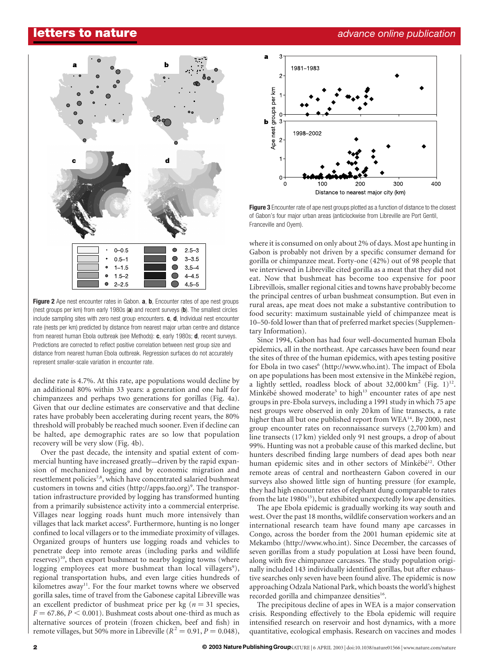

Figure 2 Ape nest encounter rates in Gabon. a, b, Encounter rates of ape nest groups (nest groups per km) from early 1980s (a) and recent surveys (b). The smallest circles include sampling sites with zero nest group encounters.  $c, d$ , Individual nest encounter rate (nests per km) predicted by distance from nearest major urban centre and distance from nearest human Ebola outbreak (see Methods): c, early 1980s; d, recent surveys. Predictions are corrected to reflect positive correlation between nest group size and distance from nearest human Ebola outbreak. Regression surfaces do not accurately represent smaller-scale variation in encounter rate.

decline rate is 4.7%. At this rate, ape populations would decline by an additional 80% within 33 years: a generation and one half for chimpanzees and perhaps two generations for gorillas (Fig. 4a). Given that our decline estimates are conservative and that decline rates have probably been accelerating during recent years, the 80% threshold will probably be reached much sooner. Even if decline can be halted, ape demographic rates are so low that population recovery will be very slow (Fig. 4b).

Over the past decade, the intensity and spatial extent of commercial hunting have increased greatly—driven by the rapid expansion of mechanized logging and by economic migration and resettlement policies<sup>7,8</sup>, which have concentrated salaried bushmeat customers in towns and cities (http://apps.fao.org)<sup>9</sup>. The transportation infrastructure provided by logging has transformed hunting from a primarily subsistence activity into a commercial enterprise. Villages near logging roads hunt much more intensively than villages that lack market access<sup>9</sup>. Furthermore, hunting is no longer confined to local villagers or to the immediate proximity of villages. Organized groups of hunters use logging roads and vehicles to penetrate deep into remote areas (including parks and wildlife reserves)<sup>10</sup>, then export bushmeat to nearby logging towns (where logging employees eat more bushmeat than local villagers<sup>9</sup>), regional transportation hubs, and even large cities hundreds of kilometres away<sup>11</sup>. For the four market towns where we observed gorilla sales, time of travel from the Gabonese capital Libreville was an excellent predictor of bushmeat price per kg ( $n = 31$  species,  $F = 67.86$ ,  $P < 0.001$ ). Bushmeat costs about one-third as much as alternative sources of protein (frozen chicken, beef and fish) in remote villages, but 50% more in Libreville ( $R^2 = 0.91, P = 0.048$ ),



Figure 3 Encounter rate of ape nest groups plotted as a function of distance to the closest of Gabon's four major urban areas (anticlockwise from Libreville are Port Gentil, Franceville and Oyem).

where it is consumed on only about 2% of days. Most ape hunting in Gabon is probably not driven by a specific consumer demand for gorilla or chimpanzee meat. Forty-one (42%) out of 98 people that we interviewed in Libreville cited gorilla as a meat that they did not eat. Now that bushmeat has become too expensive for poor Librevillois, smaller regional cities and towns have probably become the principal centres of urban bushmeat consumption. But even in rural areas, ape meat does not make a substantive contribution to food security: maximum sustainable yield of chimpanzee meat is 10–50-fold lower than that of preferred market species (Supplementary Information).

Since 1994, Gabon has had four well-documented human Ebola epidemics, all in the northeast. Ape carcasses have been found near the sites of three of the human epidemics, with apes testing positive for Ebola in two cases<sup>6</sup> (http://www.who.int). The impact of Ebola on ape populations has been most extensive in the Minkébé region, a lightly settled, roadless block of about  $32,000 \text{ km}^2$  (Fig. 1)<sup>12</sup>. Minkébé showed moderate<sup>5</sup> to high<sup>13</sup> encounter rates of ape nest groups in pre-Ebola surveys, including a 1991 study in which 75 ape nest groups were observed in only 20 km of line transects, a rate higher than all but one published report from WEA<sup>14</sup>. By 2000, nest group encounter rates on reconnaissance surveys (2,700 km) and line transects (17 km) yielded only 91 nest groups, a drop of about 99%. Hunting was not a probable cause of this marked decline, but hunters described finding large numbers of dead apes both near human epidemic sites and in other sectors of Minkébé<sup>12</sup>. Other remote areas of central and northeastern Gabon covered in our surveys also showed little sign of hunting pressure (for example, they had high encounter rates of elephant dung comparable to rates from the late 1980s<sup>15</sup>), but exhibited unexpectedly low ape densities.

The ape Ebola epidemic is gradually working its way south and west. Over the past 18 months, wildlife conservation workers and an international research team have found many ape carcasses in Congo, across the border from the 2001 human epidemic site at Mekambo (http://www.who.int). Since December, the carcasses of seven gorillas from a study population at Lossi have been found, along with five chimpanzee carcasses. The study population originally included 143 individually identified gorillas, but after exhaustive searches only seven have been found alive. The epidemic is now approaching Odzala National Park, which boasts the world's highest recorded gorilla and chimpanzee densities<sup>16</sup>.

The precipitous decline of apes in WEA is a major conservation crisis. Responding effectively to the Ebola epidemic will require intensified research on reservoir and host dynamics, with a more quantitative, ecological emphasis. Research on vaccines and modes